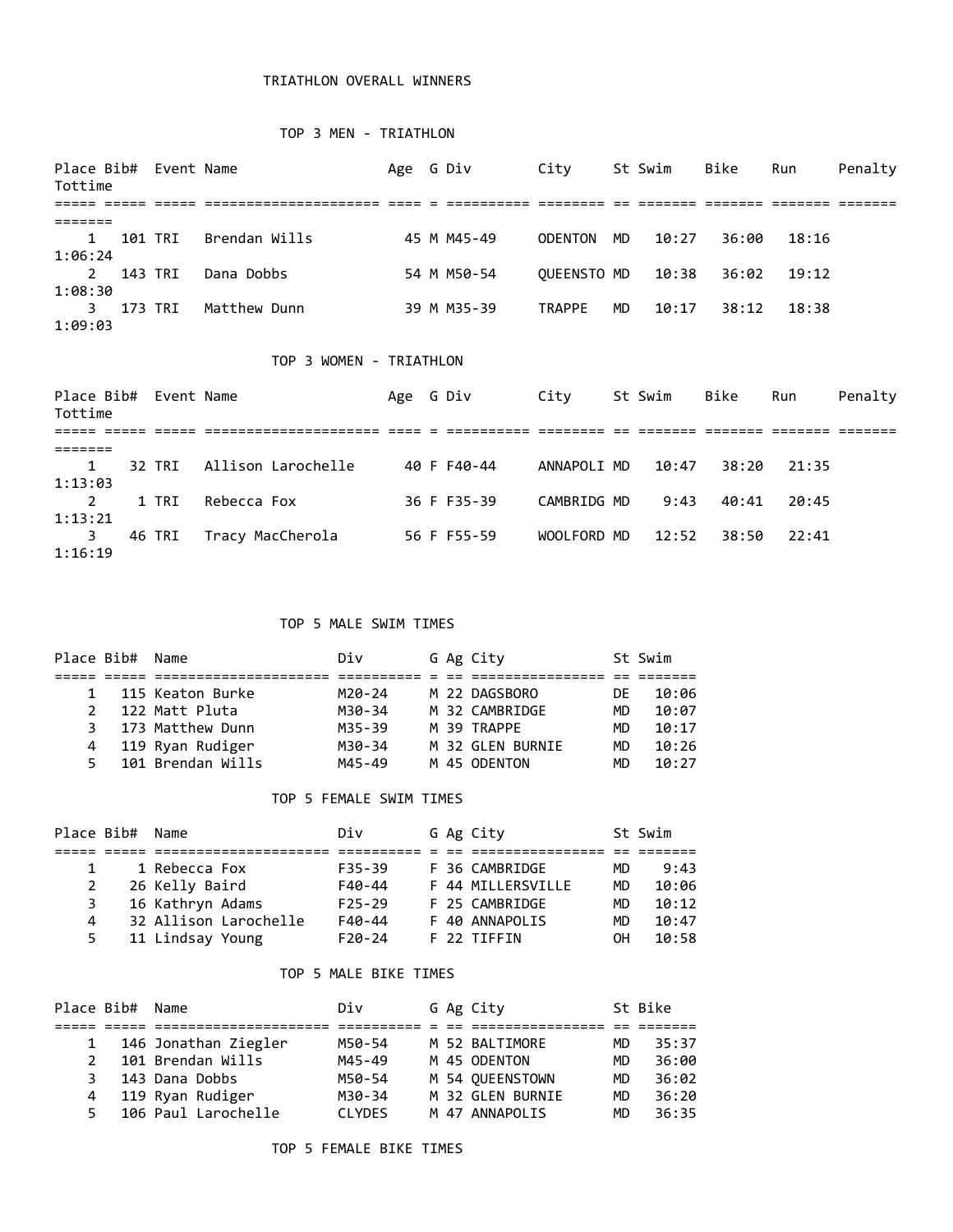## TRIATHLON OVERALL WINNERS

#### TOP 3 MEN - TRIATHLON

| Place Bib# Event Name<br>Tottime |         |                         | Age | G Div       | City           |    | St Swim | Bike  | Run   | Penalty |
|----------------------------------|---------|-------------------------|-----|-------------|----------------|----|---------|-------|-------|---------|
|                                  |         |                         |     |             |                |    |         |       |       |         |
| =======                          |         |                         |     |             |                |    |         |       |       |         |
| 1                                | 101 TRI | Brendan Wills           |     | 45 M M45-49 | <b>ODENTON</b> | MD | 10:27   | 36:00 | 18:16 |         |
| 1:06:24                          |         |                         |     |             |                |    |         |       |       |         |
| $\overline{2}$                   | 143 TRI | Dana Dobbs              |     | 54 M M50-54 | OUEENSTO MD    |    | 10:38   | 36:02 | 19:12 |         |
| 1:08:30                          |         |                         |     |             |                |    |         |       |       |         |
| 3                                | 173 TRI | Matthew Dunn            |     | 39 M M35-39 | <b>TRAPPE</b>  | MD | 10:17   | 38:12 | 18:38 |         |
| 1:09:03                          |         |                         |     |             |                |    |         |       |       |         |
|                                  |         |                         |     |             |                |    |         |       |       |         |
|                                  |         | TOP 3 WOMEN - TRIATHLON |     |             |                |    |         |       |       |         |
| Place Bib# Event Name            |         |                         | Age | G Div       | City           |    | St Swim | Bike  | Run   | Penalty |
| Tottime                          |         |                         |     |             |                |    |         |       |       |         |
|                                  |         |                         |     |             |                |    |         |       |       |         |
| =======                          |         |                         |     |             |                |    |         |       |       |         |

|         | 1 32 TRI Allison Larochelle | 40 F F40-44 | ANNAPOLI MD 10:47 38:20 21:35 |  |  |
|---------|-----------------------------|-------------|-------------------------------|--|--|
| 1:13:03 |                             |             |                               |  |  |
|         | 2 1 TRI Rebecca Fox         | 36 F F35-39 | CAMBRIDG MD 9:43 40:41 20:45  |  |  |
| 1:13:21 |                             |             |                               |  |  |
|         | 3 46 TRI Tracy MacCherola   | 56 F F55-59 | WOOLFORD MD 12:52 38:50 22:41 |  |  |
| 1:16:19 |                             |             |                               |  |  |

#### TOP 5 MALE SWIM TIMES

|               | Place Bib# Name |                   | Div    |  | G Ag City        |           | St Swim |
|---------------|-----------------|-------------------|--------|--|------------------|-----------|---------|
|               |                 |                   |        |  |                  |           |         |
|               |                 | 115 Keaton Burke  | M20-24 |  | M 22 DAGSBORO    | DF        | 10:06   |
| $\mathcal{P}$ |                 | 122 Matt Pluta    | M30-34 |  | M 32 CAMBRIDGE   | MD.       | 10:07   |
| 3             |                 | 173 Matthew Dunn  | M35-39 |  | M 39 TRAPPF      | <b>MD</b> | 10:17   |
| 4             |                 | 119 Ryan Rudiger  | M30-34 |  | M 32 GLEN BURNIE | MD.       | 10:26   |
| 5.            |                 | 101 Brendan Wills | M45-49 |  | M 45 ODENTON     | MD        | 10:27   |

#### TOP 5 FEMALE SWIM TIMES

| Place Bib# Name |                       | Div        |  | G Ag City         |           | St Swim |
|-----------------|-----------------------|------------|--|-------------------|-----------|---------|
|                 |                       |            |  |                   |           |         |
|                 | 1 Rebecca Fox         | $F35 - 39$ |  | F 36 CAMBRIDGE    | MD.       | 9:43    |
| 2               | 26 Kelly Baird        | F40-44     |  | F 44 MILLERSVILLE | <b>MD</b> | 10:06   |
| 3               | 16 Kathryn Adams      | $F25 - 29$ |  | F 25 CAMBRIDGE    | <b>MD</b> | 10:12   |
| 4               | 32 Allison Larochelle | $F40-44$   |  | F 40 ANNAPOLIS    | <b>MD</b> | 10:47   |
| 5.              | 11 Lindsay Young      | $F20-24$   |  | F 22 TTFFTN       | OН        | 10:58   |

#### TOP 5 MALE BIKE TIMES

| Place Bib# Name |                      | Div           |  | G Ag City        |     | St Bike |
|-----------------|----------------------|---------------|--|------------------|-----|---------|
|                 |                      |               |  |                  |     |         |
|                 | 146 Jonathan Ziegler | M50-54        |  | M 52 BALTIMORE   | MD. | 35:37   |
| 2               | 101 Brendan Wills    | M45-49        |  | M 45 ODENTON     | MD. | 36:00   |
| З.              | 143 Dana Dobbs       | M50-54        |  | M 54 QUEENSTOWN  | MD. | 36:02   |
| 4               | 119 Ryan Rudiger     | M30-34        |  | M 32 GLEN BURNIE | MD. | 36:20   |
| 5.              | 106 Paul Larochelle  | <b>CLYDES</b> |  | M 47 ANNAPOLIS   | MD  | 36:35   |

## TOP 5 FEMALE BIKE TIMES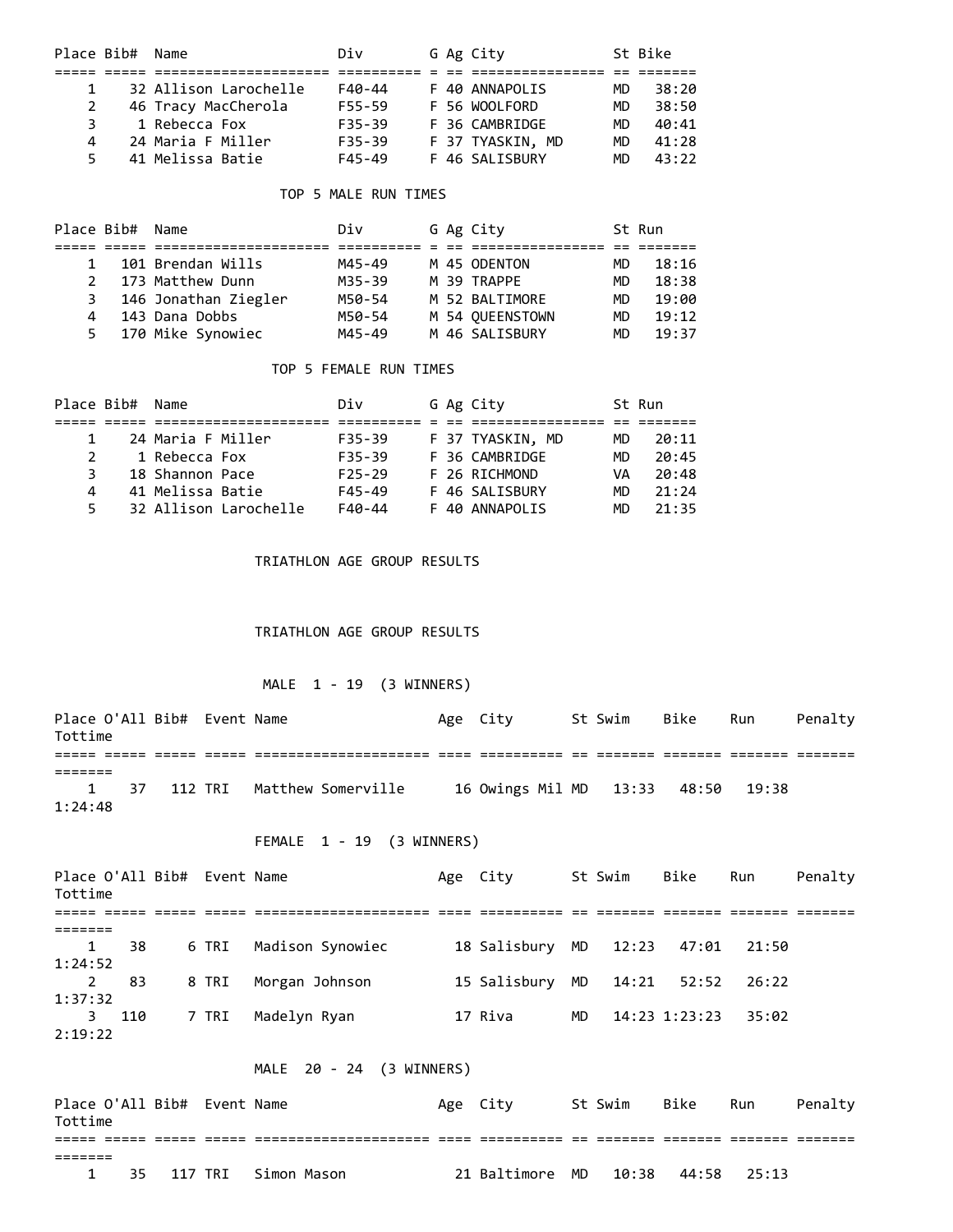| Place Bib# Name |                       | Div        |  | G Ag City        |           | St Bike |
|-----------------|-----------------------|------------|--|------------------|-----------|---------|
|                 |                       |            |  |                  |           |         |
| $\mathbf{1}$    | 32 Allison Larochelle | F40-44     |  | F 40 ANNAPOLIS   | MD.       | 38:20   |
| 2               | 46 Tracy MacCherola   | F55-59     |  | F 56 WOOLFORD    | <b>MD</b> | 38:50   |
| 3               | 1 Rebecca Fox         | $F35 - 39$ |  | F 36 CAMBRIDGE   | <b>MD</b> | 40:41   |
| 4               | 24 Maria F Miller     | $F35 - 39$ |  | F 37 TYASKIN, MD | MD        | 41:28   |
| 5.              | 41 Melissa Batie      | F45-49     |  | F 46 SALISBURY   | MD        | 43:22   |

## TOP 5 MALE RUN TIMES

| Place Bib# Name |   |                      | Div    |  | G Ag City       |           | St Run |
|-----------------|---|----------------------|--------|--|-----------------|-----------|--------|
|                 |   |                      |        |  |                 |           |        |
| $\mathbf{1}$    |   | 101 Brendan Wills    | M45-49 |  | M 45 ODENTON    | MD        | 18:16  |
| 2               |   | 173 Matthew Dunn     | M35-39 |  | M 39 TRAPPF     | <b>MD</b> | 18:38  |
|                 | 3 | 146 Jonathan Ziegler | M50-54 |  | M 52 BALTIMORE  | MD.       | 19:00  |
| 4               |   | 143 Dana Dobbs       | M50-54 |  | M 54 OUEENSTOWN | <b>MD</b> | 19:12  |
| 5.              |   | 170 Mike Synowiec    | M45-49 |  | M 46 SALISBURY  | MD.       | 19:37  |

## TOP 5 FEMALE RUN TIMES

| Place Bib# | Div                                                                                                        |  |                                                                                                      | St Run |
|------------|------------------------------------------------------------------------------------------------------------|--|------------------------------------------------------------------------------------------------------|--------|
|            |                                                                                                            |  |                                                                                                      |        |
|            | $F35 - 39$                                                                                                 |  | MD                                                                                                   | 20:11  |
|            | $F35 - 39$                                                                                                 |  | МD                                                                                                   | 20:45  |
|            | $F25 - 29$                                                                                                 |  | VA                                                                                                   | 20:48  |
|            | F45-49                                                                                                     |  | MD                                                                                                   | 21:24  |
|            | F40-44                                                                                                     |  | МD                                                                                                   | 21:35  |
|            | Name<br>24 Maria F Miller<br>1 Rebecca Fox<br>18 Shannon Pace<br>41 Melissa Batie<br>32 Allison Larochelle |  | G Ag City<br>F 37 TYASKIN, MD<br>F 36 CAMBRIDGE<br>F 26 RICHMOND<br>F 46 SALISBURY<br>F 40 ANNAPOLIS |        |

TRIATHLON AGE GROUP RESULTS

TRIATHLON AGE GROUP RESULTS

## MALE 1 - 19 (3 WINNERS)

| Place O'All Bib# Event Name<br>Tottime |  |  |                                 | Age City |  | St Swim Bike Run | Penaltv |
|----------------------------------------|--|--|---------------------------------|----------|--|------------------|---------|
|                                        |  |  |                                 |          |  |                  |         |
| 1:24:48                                |  |  | 1 37 112 TRI Matthew Somerville |          |  |                  |         |

# FEMALE 1 - 19 (3 WINNERS)

| Place O'All Bib# Event Name<br>Tottime |     |       |                  | Age City        |     | St Swim | Bike              | Run   | Penalty |
|----------------------------------------|-----|-------|------------------|-----------------|-----|---------|-------------------|-------|---------|
|                                        |     |       |                  |                 |     |         |                   |       |         |
|                                        |     |       |                  |                 |     |         |                   |       |         |
| 1                                      | 38  | 6 TRI | Madison Synowiec | 18 Salisbury MD |     | 12:23   | 47:01             | 21:50 |         |
| 1:24:52                                |     |       |                  |                 |     |         |                   |       |         |
| 2                                      | 83  | 8 TRI | Morgan Johnson   | 15 Salisbury MD |     | 14:21   | 52:52             | 26:22 |         |
| 1:37:32                                |     |       |                  |                 |     |         |                   |       |         |
| 3                                      | 110 | 7 TRI | Madelyn Ryan     | 17 Riva         | MD. |         | $14:23$ $1:23:23$ | 35:02 |         |
| 2:19:22                                |     |       |                  |                 |     |         |                   |       |         |

## MALE 20 - 24 (3 WINNERS)

| Place O'All Bib# Event Name<br>Tottime |  |                            | Age City                             | St Swim | Bike | Run | Penalty |
|----------------------------------------|--|----------------------------|--------------------------------------|---------|------|-----|---------|
|                                        |  |                            |                                      |         |      |     |         |
|                                        |  |                            |                                      |         |      |     |         |
|                                        |  | 35   117 TRI   Simon Mason | 21 Baltimore MD  10:38  44:58  25:13 |         |      |     |         |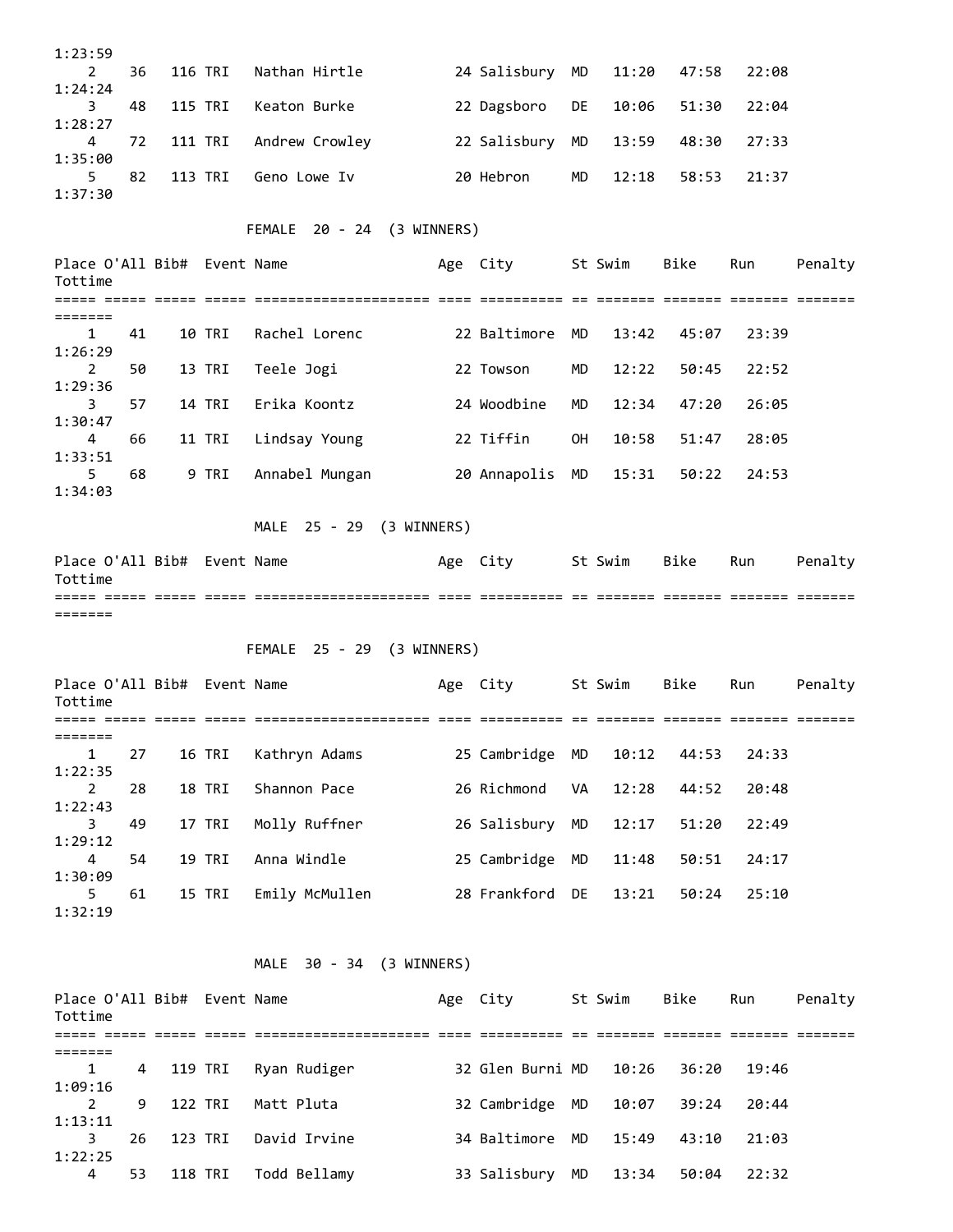|                                        | 1:23:59 |         |                            |                  |     |         |       |       |         |
|----------------------------------------|---------|---------|----------------------------|------------------|-----|---------|-------|-------|---------|
| $\mathbf{2}$<br>1:24:24                | 36      | 116 TRI | Nathan Hirtle              | 24 Salisbury     | MD  | 11:20   | 47:58 | 22:08 |         |
| 3.                                     | 48      | 115 TRI | Keaton Burke               | 22 Dagsboro      | DE  | 10:06   | 51:30 | 22:04 |         |
| 1:28:27<br>4                           | 72      | 111 TRI | Andrew Crowley             | 22 Salisbury     | MD  | 13:59   | 48:30 | 27:33 |         |
| 1:35:00<br>5                           | 82      | 113 TRI | Geno Lowe Iv               | 20 Hebron        | MD  | 12:18   | 58:53 | 21:37 |         |
| 1:37:30                                |         |         |                            |                  |     |         |       |       |         |
|                                        |         |         | FEMALE 20 - 24 (3 WINNERS) |                  |     |         |       |       |         |
| Place O'All Bib# Event Name<br>Tottime |         |         |                            | Age City         |     | St Swim | Bike  | Run   | Penalty |
| =======                                |         |         |                            |                  |     |         |       |       |         |
| 1<br>1:26:29                           | 41      | 10 TRI  | Rachel Lorenc              | 22 Baltimore     | MD. | 13:42   | 45:07 | 23:39 |         |
| 2<br>1:29:36                           | 50      | 13 TRI  | Teele Jogi                 | 22 Towson        | MD  | 12:22   | 50:45 | 22:52 |         |
| 3                                      | 57      | 14 TRI  | Erika Koontz               | 24 Woodbine      | MD  | 12:34   | 47:20 | 26:05 |         |
| 1:30:47<br>4                           | 66      | 11 TRI  | Lindsay Young              | 22 Tiffin        | 0H  | 10:58   | 51:47 | 28:05 |         |
| 1:33:51<br>5                           | 68      | 9 TRI   | Annabel Mungan             | 20 Annapolis     | MD  | 15:31   | 50:22 | 24:53 |         |
| 1:34:03                                |         |         |                            |                  |     |         |       |       |         |
|                                        |         |         | MALE 25 - 29 (3 WINNERS)   |                  |     |         |       |       |         |
| Place O'All Bib# Event Name<br>Tottime |         |         |                            | Age City         |     | St Swim | Bike  | Run   | Penalty |
| =======                                |         |         |                            |                  |     |         |       |       |         |
|                                        |         |         | FEMALE 25 - 29 (3 WINNERS) |                  |     |         |       |       |         |
|                                        |         |         |                            |                  |     |         |       |       |         |
| Place O'All Bib# Event Name<br>Tottime |         |         |                            | Age City St Swim |     |         | Bike  | Run   | Penalty |
| =======                                |         |         |                            |                  |     |         |       |       |         |
| $\mathbf{1}$<br>1:22:35                | 27      | 16 TRI  | Kathryn Adams              | 25 Cambridge MD  |     | 10:12   | 44:53 | 24:33 |         |
| $\mathbf{2}$<br>1:22:43                | 28      | 18 TRI  | Shannon Pace               | 26 Richmond      | VA  | 12:28   | 44:52 | 20:48 |         |
| 3<br>1:29:12                           | 49      | 17 TRI  | Molly Ruffner              | 26 Salisbury MD  |     | 12:17   | 51:20 | 22:49 |         |
| $\overline{4}$                         | 54      | 19 TRI  | Anna Windle                | 25 Cambridge MD  |     | 11:48   | 50:51 | 24:17 |         |
| 1:30:09<br>5                           | 61      | 15 TRI  | Emily McMullen             | 28 Frankford DE  |     | 13:21   | 50:24 | 25:10 |         |
| 1:32:19                                |         |         |                            |                  |     |         |       |       |         |
|                                        |         |         | MALE 30 - 34 (3 WINNERS)   |                  |     |         |       |       |         |
| Place O'All Bib# Event Name<br>Tottime |         |         |                            | Age City St Swim |     |         | Bike  | Run   | Penalty |
| =======                                |         |         |                            |                  |     |         |       |       |         |
| $\mathbf{1}$<br>1:09:16                | 4       | 119 TRI | Ryan Rudiger               | 32 Glen Burni MD |     | 10:26   | 36:20 | 19:46 |         |
| $\overline{2}$<br>1:13:11              | 9       | 122 TRI | Matt Pluta                 | 32 Cambridge MD  |     | 10:07   | 39:24 | 20:44 |         |

4 53 118 TRI Todd Bellamy 33 Salisbury MD 13:34 50:04 22:32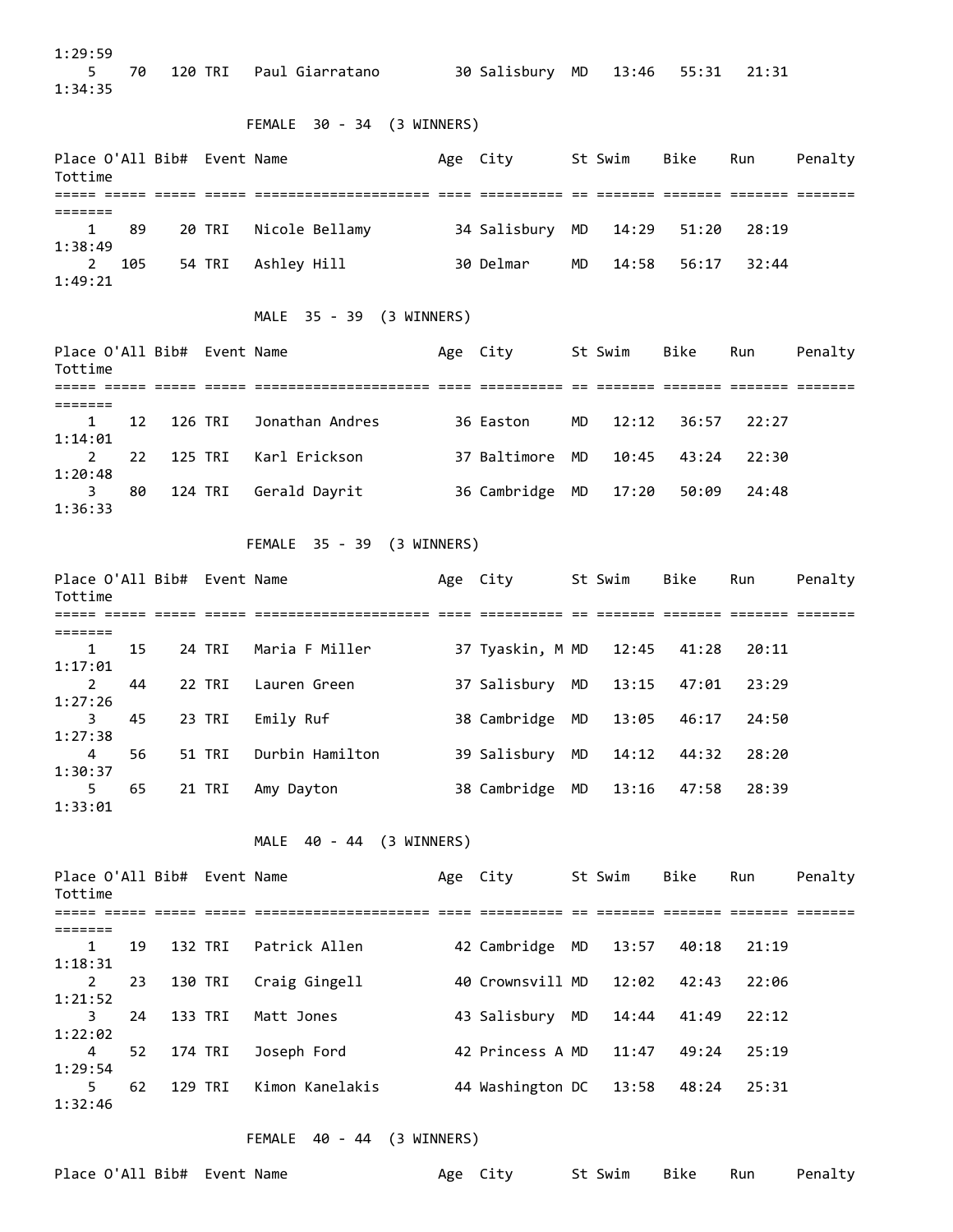1:29:59 5 70 120 TRI Paul Giarratano 30 Salisbury MD 13:46 55:31 21:31 1:34:35 FEMALE 30 - 34 (3 WINNERS) Place O'All Bib# Event Name Age City St Swim Bike Run Penalty Tottime ===== ===== ===== ===== ===================== ==== ========== == ======= ======= ======= ======= ======= 1 89 20 TRI Nicole Bellamy 34 Salisbury MD 14:29 51:20 28:19 1:38:49 2 105 54 TRI Ashley Hill 30 Delmar MD 14:58 56:17 32:44 1:49:21 MALE 35 - 39 (3 WINNERS) Place O'All Bib# Event Name The Stage City St Swim Bike Run Penalty Tottime ===== ===== ===== ===== ===================== ==== ========== == ======= ======= ======= ======= ======= 1 12 126 TRI Jonathan Andres 36 Easton MD 12:12 36:57 22:27 1:14:01 2 22 125 TRI Karl Erickson 37 Baltimore MD 10:45 43:24 22:30 1:20:48 3 80 124 TRI Gerald Dayrit 36 Cambridge MD 17:20 50:09 24:48 1:36:33 FEMALE 35 - 39 (3 WINNERS) Place O'All Bib# Event Name The Stage City St Swim Bike Run Penalty Tottime ===== ===== ===== ===== ===================== ==== ========== == ======= ======= ======= ======= ======= 1 15 24 TRI Maria F Miller 37 Tyaskin, M MD 12:45 41:28 20:11 1:17:01 2 44 22 TRI Lauren Green 37 Salisbury MD 13:15 47:01 23:29 1:27:26 3 45 23 TRI Emily Ruf 38 Cambridge MD 13:05 46:17 24:50 1:27:38 4 56 51 TRI Durbin Hamilton 39 Salisbury MD 14:12 44:32 28:20 1:30:37 5 65 21 TRI Amy Dayton 38 Cambridge MD 13:16 47:58 28:39 1:33:01 MALE 40 - 44 (3 WINNERS) Place O'All Bib# Event Name The Sound Age City St Swim Bike Run Penalty Tottime ===== ===== ===== ===== ===================== ==== ========== == ======= ======= ======= ======= ======= 1 19 132 TRI Patrick Allen 42 Cambridge MD 13:57 40:18 21:19 1:18:31 2 23 130 TRI Craig Gingell 40 Crownsvill MD 12:02 42:43 22:06 1:21:52 3 24 133 TRI Matt Jones 43 Salisbury MD 14:44 41:49 22:12 1:22:02 4 52 174 TRI Joseph Ford 42 Princess A MD 11:47 49:24 25:19 1:29:54 5 62 129 TRI Kimon Kanelakis 44 Washington DC 13:58 48:24 25:31 1:32:46

FEMALE 40 - 44 (3 WINNERS)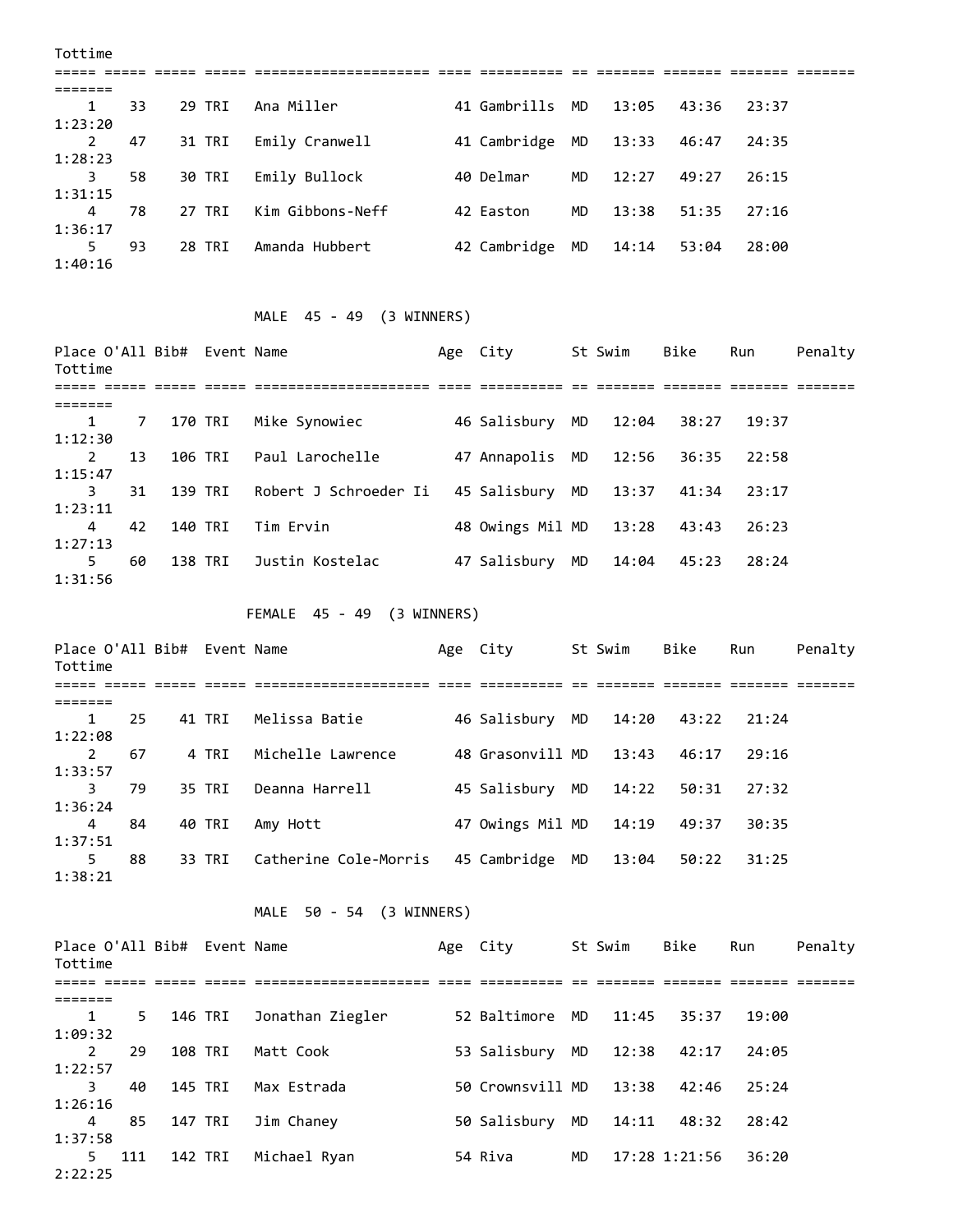| Tottime |    |        |                  |              |    |       |       |       |  |
|---------|----|--------|------------------|--------------|----|-------|-------|-------|--|
|         |    |        |                  |              |    |       |       |       |  |
|         |    |        |                  |              |    |       |       |       |  |
| 1       | 33 | 29 TRI | Ana Miller       | 41 Gambrills | MD | 13:05 | 43:36 | 23:37 |  |
| 1:23:20 |    |        |                  |              |    |       |       |       |  |
| 2       | 47 | 31 TRI | Emily Cranwell   | 41 Cambridge | MD | 13:33 | 46:47 | 24:35 |  |
| 1:28:23 |    |        |                  |              |    |       |       |       |  |
| 3       | 58 | 30 TRI | Emily Bullock    | 40 Delmar    | MD | 12:27 | 49:27 | 26:15 |  |
| 1:31:15 |    |        |                  |              |    |       |       |       |  |
| 4       | 78 | 27 TRI | Kim Gibbons-Neff | 42 Easton    | MD | 13:38 | 51:35 | 27:16 |  |
| 1:36:17 |    |        |                  |              |    |       |       |       |  |
| 5       | 93 | 28 TRI | Amanda Hubbert   | 42 Cambridge | MD | 14:14 | 53:04 | 28:00 |  |
| 1:40:16 |    |        |                  |              |    |       |       |       |  |

## MALE 45 - 49 (3 WINNERS)

| Place O'All Bib# Event Name<br>Tottime |    |         |                       | Age City         |    | St Swim | Bike  | Run   | Penalty |
|----------------------------------------|----|---------|-----------------------|------------------|----|---------|-------|-------|---------|
|                                        |    |         |                       |                  |    |         |       |       |         |
|                                        |    |         |                       |                  |    |         |       |       |         |
| 1                                      | 7  | 170 TRI | Mike Synowiec         | 46 Salisbury     | MD | 12:04   | 38:27 | 19:37 |         |
| 1:12:30                                |    |         |                       |                  |    |         |       |       |         |
| 2                                      | 13 | 106 TRI | Paul Larochelle       | 47 Annapolis MD  |    | 12:56   | 36:35 | 22:58 |         |
| 1:15:47                                |    |         |                       |                  |    |         |       |       |         |
| 3                                      | 31 | 139 TRI | Robert J Schroeder Ii | 45 Salisbury     | MD | 13:37   | 41:34 | 23:17 |         |
| 1:23:11                                |    |         |                       |                  |    |         |       |       |         |
| 4                                      | 42 | 140 TRI | Tim Ervin             | 48 Owings Mil MD |    | 13:28   | 43:43 | 26:23 |         |
| 1:27:13                                |    |         |                       |                  |    |         |       |       |         |
| 5                                      | 60 | 138 TRI | Justin Kostelac       | 47 Salisbury     | MD | 14:04   | 45:23 | 28:24 |         |
| 1:31:56                                |    |         |                       |                  |    |         |       |       |         |

# FEMALE 45 - 49 (3 WINNERS)

| Place O'All Bib# Event Name<br>Tottime |    |        |                       | Age City         |    | St Swim | Bike             | Run   | Penalty |
|----------------------------------------|----|--------|-----------------------|------------------|----|---------|------------------|-------|---------|
|                                        |    |        |                       |                  |    |         | -------- ------- |       |         |
|                                        |    |        |                       |                  |    |         |                  |       |         |
| 1                                      | 25 | 41 TRI | Melissa Batie         | 46 Salisbury     | MD | 14:20   | 43:22            | 21:24 |         |
| 1:22:08                                |    |        |                       |                  |    |         |                  |       |         |
| 2                                      | 67 | 4 TRI  | Michelle Lawrence     | 48 Grasonvill MD |    | 13:43   | 46:17            | 29:16 |         |
| 1:33:57                                |    |        |                       |                  |    |         |                  |       |         |
| 3                                      | 79 | 35 TRI | Deanna Harrell        | 45 Salisbury     | MD | 14:22   | 50:31            | 27:32 |         |
| 1:36:24                                |    |        |                       |                  |    |         |                  |       |         |
| 4                                      | 84 | 40 TRI | Amy Hott              | 47 Owings Mil MD |    | 14:19   | 49:37            | 30:35 |         |
| 1:37:51                                |    |        |                       |                  |    |         |                  |       |         |
| 5                                      | 88 | 33 TRI | Catherine Cole-Morris | 45 Cambridge     | MD | 13:04   | 50:22            | 31:25 |         |
| 1:38:21                                |    |        |                       |                  |    |         |                  |       |         |

# MALE 50 - 54 (3 WINNERS)

| Tottime |     | Place O'All Bib# Event Name |         |                  | Age City         |           | St Swim | Bike          | Run   | Penalty |
|---------|-----|-----------------------------|---------|------------------|------------------|-----------|---------|---------------|-------|---------|
|         |     |                             |         |                  |                  |           |         |               |       |         |
|         |     |                             |         |                  |                  |           |         |               |       |         |
| 1       | 5.  |                             | 146 TRI | Jonathan Ziegler | 52 Baltimore     | MD.       | 11:45   | 35:37         | 19:00 |         |
| 1:09:32 |     |                             |         |                  |                  |           |         |               |       |         |
| 2       | 29  |                             | 108 TRI | Matt Cook        | 53 Salisbury     | <b>MD</b> | 12:38   | 42:17         | 24:05 |         |
| 1:22:57 |     |                             |         |                  |                  |           |         |               |       |         |
| 3       | 40  |                             | 145 TRI | Max Estrada      | 50 Crownsvill MD |           | 13:38   | 42:46         | 25:24 |         |
| 1:26:16 |     |                             |         |                  |                  |           |         |               |       |         |
| 4       | 85  |                             | 147 TRI | Jim Chaney       | 50 Salisbury     | MD        | 14:11   | 48:32         | 28:42 |         |
| 1:37:58 |     |                             |         |                  |                  |           |         |               |       |         |
| 5.      | 111 |                             | 142 TRI | Michael Ryan     | 54 Riva          | MD        |         | 17:28 1:21:56 | 36:20 |         |
| 2:22:25 |     |                             |         |                  |                  |           |         |               |       |         |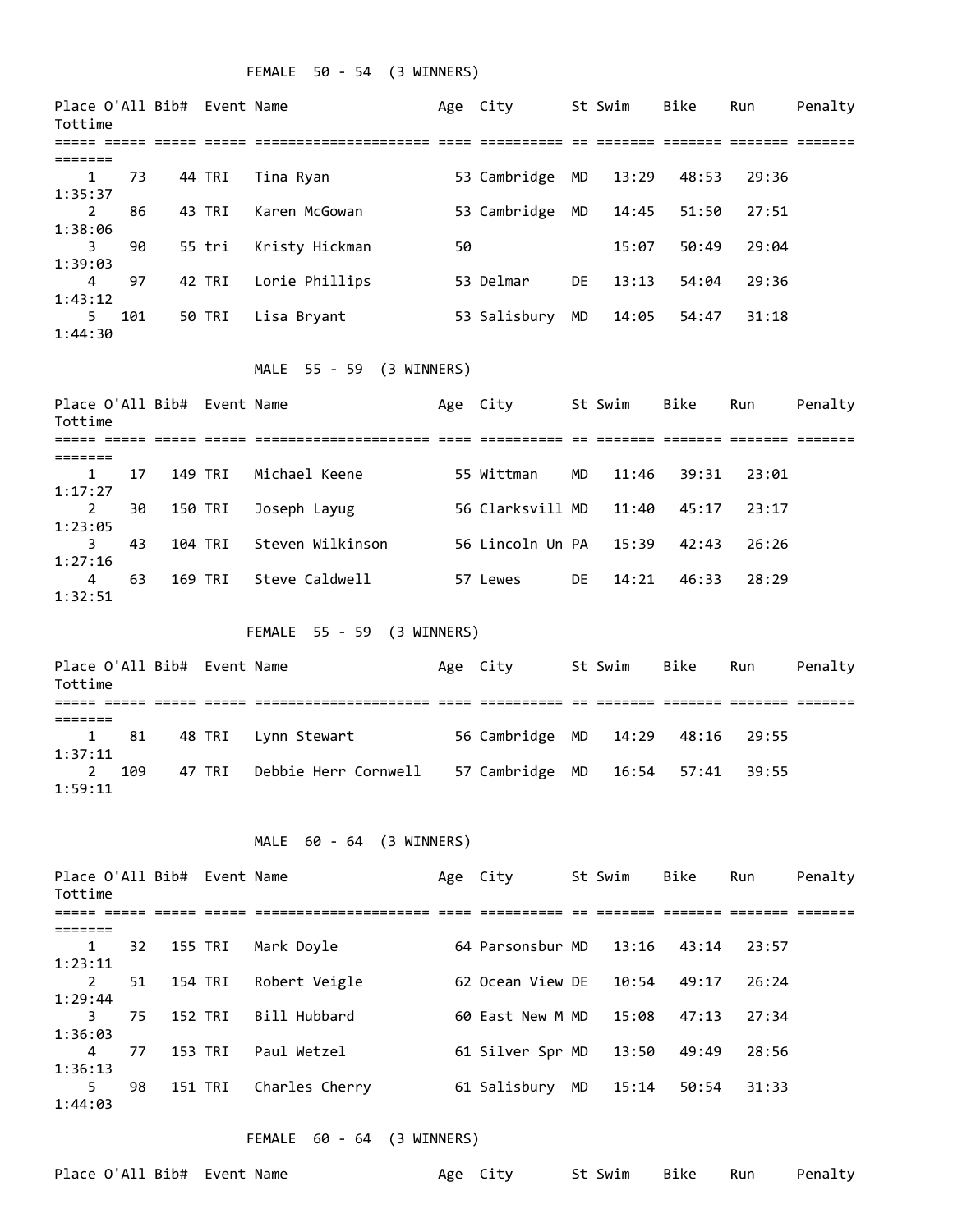## FEMALE 50 - 54 (3 WINNERS)

| Place O'All Bib# Event Name<br>Tottime |     |                        |         |                            |    | Age City         |    | St Swim | Bike  | Run   | Penalty |
|----------------------------------------|-----|------------------------|---------|----------------------------|----|------------------|----|---------|-------|-------|---------|
|                                        |     |                        |         |                            |    |                  |    |         |       |       |         |
| =======<br>1<br>1:35:37                | 73  |                        | 44 TRI  | Tina Ryan                  |    | 53 Cambridge     | MD | 13:29   | 48:53 | 29:36 |         |
| $\overline{2}$<br>1:38:06              | 86  |                        | 43 TRI  | Karen McGowan              |    | 53 Cambridge     | MD | 14:45   | 51:50 | 27:51 |         |
| 3<br>1:39:03                           | 90  |                        | 55 tri  | Kristy Hickman             | 50 |                  |    | 15:07   | 50:49 | 29:04 |         |
| 4<br>1:43:12                           | 97  |                        | 42 TRI  | Lorie Phillips             |    | 53 Delmar        | DE | 13:13   | 54:04 | 29:36 |         |
| 5<br>1:44:30                           | 101 |                        | 50 TRI  | Lisa Bryant                |    | 53 Salisbury     | MD | 14:05   | 54:47 | 31:18 |         |
|                                        |     |                        |         | MALE 55 - 59 (3 WINNERS)   |    |                  |    |         |       |       |         |
| Place O'All Bib# Event Name<br>Tottime |     |                        |         |                            |    | Age City         |    | St Swim | Bike  | Run   | Penalty |
|                                        |     |                        |         |                            |    |                  |    |         |       |       |         |
| =======<br>1<br>1:17:27                | 17  |                        | 149 TRI | Michael Keene              |    | 55 Wittman       | MD | 11:46   | 39:31 | 23:01 |         |
| $\overline{2}$<br>1:23:05              | 30  |                        | 150 TRI | Joseph Layug               |    | 56 Clarksvill MD |    | 11:40   | 45:17 | 23:17 |         |
| 3<br>1:27:16                           | 43  |                        | 104 TRI | Steven Wilkinson           |    | 56 Lincoln Un PA |    | 15:39   | 42:43 | 26:26 |         |
| 4<br>1:32:51                           | 63  |                        | 169 TRI | Steve Caldwell             |    | 57 Lewes         | DE | 14:21   | 46:33 | 28:29 |         |
|                                        |     |                        |         | FEMALE 55 - 59 (3 WINNERS) |    |                  |    |         |       |       |         |
| Place O'All Bib# Event Name<br>Tottime |     |                        |         |                            |    | Age City         |    | St Swim | Bike  | Run   | Penalty |
|                                        |     |                        |         |                            |    |                  |    |         |       |       |         |
| =======<br>1<br>1:37:11                | 81  |                        | 48 TRI  | Lynn Stewart               |    | 56 Cambridge     | MD | 14:29   | 48:16 | 29:55 |         |
| $\mathbf{2}^{\prime}$<br>1:59:11       | 109 |                        | 47 TRI  | Debbie Herr Cornwell       |    | 57 Cambridge MD  |    | 16:54   | 57:41 | 39:55 |         |
|                                        |     |                        |         | MALE 60 - 64 (3 WINNERS)   |    |                  |    |         |       |       |         |
| Place O'All Bib# Event Name<br>Tottime |     |                        |         |                            |    | Age City         |    | St Swim | Bike  | Run   | Penalty |
|                                        |     | isaa aaaaa aaaaa aaaaa |         |                            |    |                  |    |         |       |       |         |
| =======                                |     |                        |         |                            |    |                  |    |         |       |       |         |
| 1<br>1:23:11                           | 32  |                        | 155 TRI | Mark Doyle                 |    | 64 Parsonsbur MD |    | 13:16   | 43:14 | 23:57 |         |
| $\mathbf{2}^{\prime}$<br>1:29:44       | 51  |                        | 154 TRI | Robert Veigle              |    | 62 Ocean View DE |    | 10:54   | 49:17 | 26:24 |         |
| 3.                                     | 75  |                        | 152 TRI | Bill Hubbard               |    | 60 East New M MD |    | 15:08   | 47:13 | 27:34 |         |
| 1:36:03<br>4                           | 77  |                        | 153 TRI | Paul Wetzel                |    | 61 Silver Spr MD |    | 13:50   | 49:49 | 28:56 |         |
| 1:36:13<br>5                           | 98  |                        | 151 TRI | Charles Cherry             |    | 61 Salisbury MD  |    | 15:14   | 50:54 | 31:33 |         |

FEMALE 60 - 64 (3 WINNERS)

|  |  |  |  | Place O'All Bib#  Event Name |  |
|--|--|--|--|------------------------------|--|
|--|--|--|--|------------------------------|--|

1:44:03

Age City St Swim Bike Run Penalty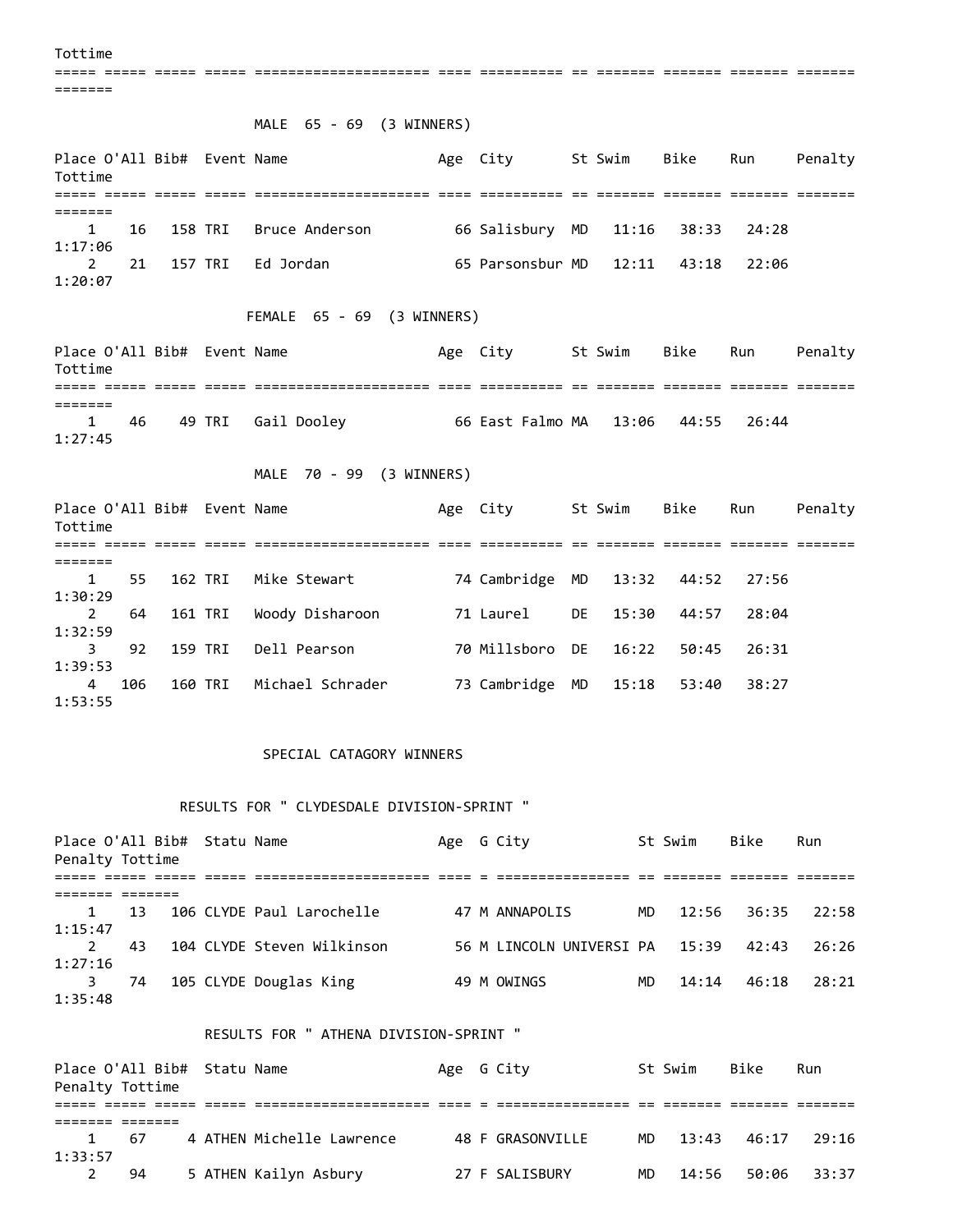Tottime

===== ===== ===== ===== ===================== ==== ========== == ======= ======= ======= =======

MALE 65 - 69 (3 WINNERS)

| Place O'All Bib# Event Name<br>Tottime |  |                             | Age City                           | St Swim - Bike - Run |  | Penalty |
|----------------------------------------|--|-----------------------------|------------------------------------|----------------------|--|---------|
|                                        |  |                             |                                    |                      |  |         |
|                                        |  |                             |                                    |                      |  |         |
|                                        |  | 1 16 158 TRI Bruce Anderson | 66 Salisbury MD 11:16 38:33 24:28  |                      |  |         |
| 1:17:06                                |  |                             |                                    |                      |  |         |
|                                        |  | 2 21 157 TRI Ed Jordan      | 65 Parsonsbur MD 12:11 43:18 22:06 |                      |  |         |
| 1:20:07                                |  |                             |                                    |                      |  |         |

## FEMALE 65 - 69 (3 WINNERS)

Place O'All Bib# Event Name Age City St Swim Bike Run Penalty Tottime ===== ===== ===== ===== ===================== ==== ========== == ======= ======= ======= ======= ======= 1 46 49 TRI Gail Dooley 66 East Falmo MA 13:06 44:55 26:44 1:27:45

#### MALE 70 - 99 (3 WINNERS)

| Place O'All Bib# Event Name<br>Tottime |     |         |                  | Age City        |    | St Swim | Bike  | Run   | Penalty |
|----------------------------------------|-----|---------|------------------|-----------------|----|---------|-------|-------|---------|
|                                        |     |         |                  |                 |    |         |       |       |         |
|                                        |     |         |                  |                 |    |         |       |       |         |
| $\mathbf{1}$                           | 55  | 162 TRI | Mike Stewart     | 74 Cambridge MD |    | 13:32   | 44:52 | 27:56 |         |
| 1:30:29                                |     |         |                  |                 |    |         |       |       |         |
| 2                                      | 64  | 161 TRI | Woody Disharoon  | 71 Laurel       | DE | 15:30   | 44:57 | 28:04 |         |
| 1:32:59                                |     |         |                  |                 |    |         |       |       |         |
| 3                                      | 92  | 159 TRI | Dell Pearson     | 70 Millsboro DE |    | 16:22   | 50:45 | 26:31 |         |
| 1:39:53                                |     |         |                  |                 |    |         |       |       |         |
| 4                                      | 106 | 160 TRI | Michael Schrader | 73 Cambridge    | MD | 15:18   | 53:40 | 38:27 |         |
| 1:53:55                                |     |         |                  |                 |    |         |       |       |         |

#### SPECIAL CATAGORY WINNERS

#### RESULTS FOR " CLYDESDALE DIVISION-SPRINT "

| Place O'All Bib# Statu Name<br>Penalty Tottime |    |  |                            | Age G City |                          |     | St Swim | Bike  | Run   |
|------------------------------------------------|----|--|----------------------------|------------|--------------------------|-----|---------|-------|-------|
|                                                |    |  |                            |            |                          |     |         |       |       |
|                                                |    |  |                            |            |                          |     |         |       |       |
| 1                                              | 13 |  | 106 CLYDE Paul Larochelle  |            | 47 M ANNAPOLIS           | MD. | 12:56   | 36:35 | 22:58 |
| 1:15:47                                        |    |  |                            |            |                          |     |         |       |       |
| 2                                              | 43 |  | 104 CLYDE Steven Wilkinson |            | 56 M LINCOLN UNIVERSI PA |     | 15:39   | 42:43 | 26:26 |
| 1:27:16                                        |    |  |                            |            |                          |     |         |       |       |
|                                                | 74 |  | 105 CLYDE Douglas King     |            | 49 M OWINGS              | MD. | 14:14   | 46:18 | 28:21 |
| 1:35:48                                        |    |  |                            |            |                          |     |         |       |       |

#### RESULTS FOR " ATHENA DIVISION-SPRINT "

| Place O'All Bib# Statu Name<br>Penalty Tottime |     |                           |  | Age G City       |     | St Swim  | Bike  | Run    |
|------------------------------------------------|-----|---------------------------|--|------------------|-----|----------|-------|--------|
|                                                |     |                           |  |                  |     |          |       |        |
|                                                |     |                           |  |                  |     |          |       |        |
|                                                | -67 | 4 ATHEN Michelle Lawrence |  | 48 F GRASONVILLE |     | MD 13:43 | 46:17 | -29:16 |
| 1:33:57                                        |     |                           |  |                  |     |          |       |        |
|                                                | 94  | 5 ATHEN Kailyn Asbury     |  | 27 F SALISBURY   | MD. | 14:56    | 50:06 | 33:37  |